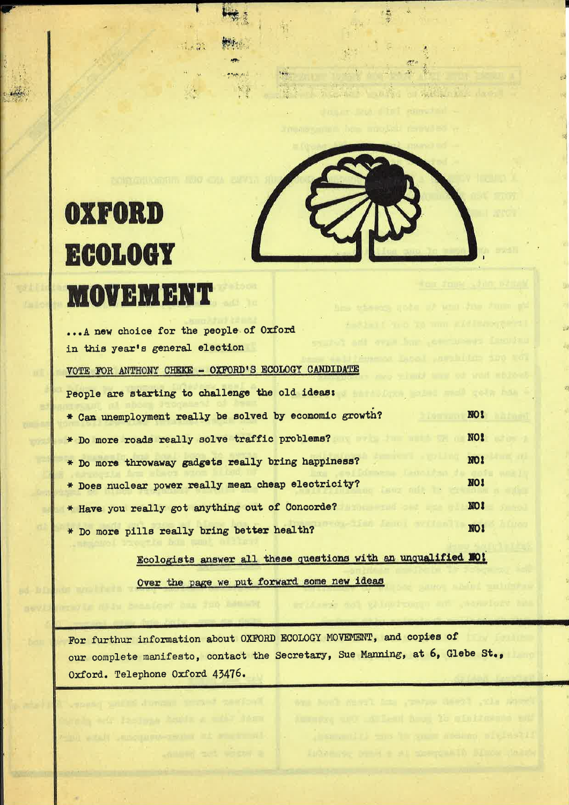

编

# **OXFORD ECOLOGY MOVEMENT**

 $1.433$ 

**PAUR ALL** 家事

| A new choice for the people of Oxford                         |            |
|---------------------------------------------------------------|------------|
| speaker and over long add-<br>in this year's general election |            |
| VOTE FOR ANTHONY CHEKE - OXFORD'S ECOLOGY CANDIDATE           |            |
| People are starting to challenge the old ideas:               |            |
| * Can unemployment really be solved by economic growth?       | NO!        |
| * Do more roads really solve traffic problems?                | NO!        |
| * Do more throwaway gadgets really bring happiness?           | NO!        |
| * Does nuclear power really mean cheap electricity?           | NO!        |
| * Have you really got anything out of Concorde?               | <b>NO!</b> |
| * Do more pills really bring better health?                   | NO!        |

Ecologists answer all these questions with an unqualified MO! Over the page we put forward some new ideas

For furthur information about OXFORD ECOLOGY MOVEMENT, and copies of our complete manifesto, contact the Secretary, Sue Manning, at 6, Glebe St., Oxford. Telephone Oxford 43476.